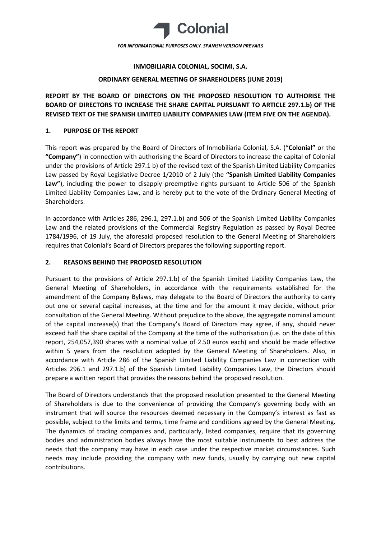

## **INMOBILIARIA COLONIAL, SOCIMI, S.A.**

## **ORDINARY GENERAL MEETING OF SHAREHOLDERS (JUNE 2019)**

**REPORT BY THE BOARD OF DIRECTORS ON THE PROPOSED RESOLUTION TO AUTHORISE THE BOARD OF DIRECTORS TO INCREASE THE SHARE CAPITAL PURSUANT TO ARTICLE 297.1.b) OF THE REVISED TEXT OF THE SPANISH LIMITED LIABILITY COMPANIES LAW (ITEM FIVE ON THE AGENDA).**

## **1. PURPOSE OF THE REPORT**

This report was prepared by the Board of Directors of Inmobiliaria Colonial, S.A. ("**Colonial"** or the **"Company"**) in connection with authorising the Board of Directors to increase the capital of Colonial under the provisions of Article 297.1 b) of the revised text of the Spanish Limited Liability Companies Law passed by Royal Legislative Decree 1/2010 of 2 July (the **"Spanish Limited Liability Companies Law"**), including the power to disapply preemptive rights pursuant to Article 506 of the Spanish Limited Liability Companies Law, and is hereby put to the vote of the Ordinary General Meeting of Shareholders.

In accordance with Articles 286, 296.1, 297.1.b) and 506 of the Spanish Limited Liability Companies Law and the related provisions of the Commercial Registry Regulation as passed by Royal Decree 1784/1996, of 19 July, the aforesaid proposed resolution to the General Meeting of Shareholders requires that Colonial's Board of Directors prepares the following supporting report.

## **2. REASONS BEHIND THE PROPOSED RESOLUTION**

Pursuant to the provisions of Article 297.1.b) of the Spanish Limited Liability Companies Law, the General Meeting of Shareholders, in accordance with the requirements established for the amendment of the Company Bylaws, may delegate to the Board of Directors the authority to carry out one or several capital increases, at the time and for the amount it may decide, without prior consultation of the General Meeting. Without prejudice to the above, the aggregate nominal amount of the capital increase(s) that the Company's Board of Directors may agree, if any, should never exceed half the share capital of the Company at the time of the authorisation (i.e. on the date of this report, 254,057,390 shares with a nominal value of 2.50 euros each) and should be made effective within 5 years from the resolution adopted by the General Meeting of Shareholders. Also, in accordance with Article 286 of the Spanish Limited Liability Companies Law in connection with Articles 296.1 and 297.1.b) of the Spanish Limited Liability Companies Law, the Directors should prepare a written report that provides the reasons behind the proposed resolution.

The Board of Directors understands that the proposed resolution presented to the General Meeting of Shareholders is due to the convenience of providing the Company's governing body with an instrument that will source the resources deemed necessary in the Company's interest as fast as possible, subject to the limits and terms, time frame and conditions agreed by the General Meeting. The dynamics of trading companies and, particularly, listed companies, require that its governing bodies and administration bodies always have the most suitable instruments to best address the needs that the company may have in each case under the respective market circumstances. Such needs may include providing the company with new funds, usually by carrying out new capital contributions.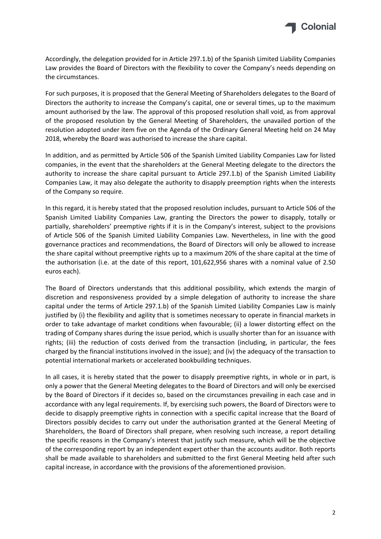

Accordingly, the delegation provided for in Article 297.1.b) of the Spanish Limited Liability Companies Law provides the Board of Directors with the flexibility to cover the Company's needs depending on the circumstances.

For such purposes, it is proposed that the General Meeting of Shareholders delegates to the Board of Directors the authority to increase the Company's capital, one or several times, up to the maximum amount authorised by the law. The approval of this proposed resolution shall void, as from approval of the proposed resolution by the General Meeting of Shareholders, the unavailed portion of the resolution adopted under item five on the Agenda of the Ordinary General Meeting held on 24 May 2018, whereby the Board was authorised to increase the share capital.

In addition, and as permitted by Article 506 of the Spanish Limited Liability Companies Law for listed companies, in the event that the shareholders at the General Meeting delegate to the directors the authority to increase the share capital pursuant to Article 297.1.b) of the Spanish Limited Liability Companies Law, it may also delegate the authority to disapply preemption rights when the interests of the Company so require.

In this regard, it is hereby stated that the proposed resolution includes, pursuant to Article 506 of the Spanish Limited Liability Companies Law, granting the Directors the power to disapply, totally or partially, shareholders' preemptive rights if it is in the Company's interest, subject to the provisions of Article 506 of the Spanish Limited Liability Companies Law. Nevertheless, in line with the good governance practices and recommendations, the Board of Directors will only be allowed to increase the share capital without preemptive rights up to a maximum 20% of the share capital at the time of the authorisation (i.e. at the date of this report, 101,622,956 shares with a nominal value of 2.50 euros each).

The Board of Directors understands that this additional possibility, which extends the margin of discretion and responsiveness provided by a simple delegation of authority to increase the share capital under the terms of Article 297.1.b) of the Spanish Limited Liability Companies Law is mainly justified by (i) the flexibility and agility that is sometimes necessary to operate in financial markets in order to take advantage of market conditions when favourable; (ii) a lower distorting effect on the trading of Company shares during the issue period, which is usually shorter than for an issuance with rights; (iii) the reduction of costs derived from the transaction (including, in particular, the fees charged by the financial institutions involved in the issue); and (iv) the adequacy of the transaction to potential international markets or accelerated bookbuilding techniques.

In all cases, it is hereby stated that the power to disapply preemptive rights, in whole or in part, is only a power that the General Meeting delegates to the Board of Directors and will only be exercised by the Board of Directors if it decides so, based on the circumstances prevailing in each case and in accordance with any legal requirements. If, by exercising such powers, the Board of Directors were to decide to disapply preemptive rights in connection with a specific capital increase that the Board of Directors possibly decides to carry out under the authorisation granted at the General Meeting of Shareholders, the Board of Directors shall prepare, when resolving such increase, a report detailing the specific reasons in the Company's interest that justify such measure, which will be the objective of the corresponding report by an independent expert other than the accounts auditor. Both reports shall be made available to shareholders and submitted to the first General Meeting held after such capital increase, in accordance with the provisions of the aforementioned provision.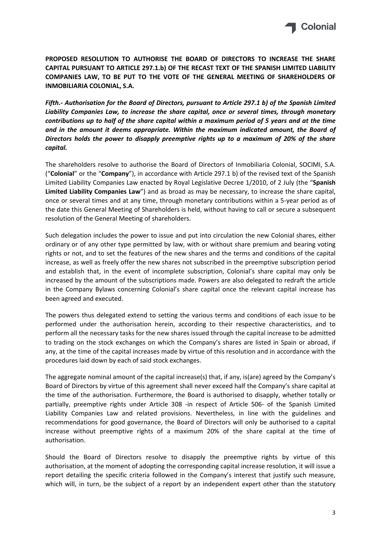

**PROPOSED RESOLUTION TO AUTHORISE THE BOARD OF DIRECTORS TO INCREASE THE SHARE CAPITAL PURSUANT TO ARTICLE 297.1.b) OF THE RECAST TEXT OF THE SPANISH LIMITED LIABILITY COMPANIES LAW, TO BE PUT TO THE VOTE OF THE GENERAL MEETING OF SHAREHOLDERS OF INMOBILIARIA COLONIAL, S.A.**

*Fifth.- Authorisation for the Board of Directors, pursuant to Article 297.1 b) of the Spanish Limited Liability Companies Law, to increase the share capital, once or several times, through monetary contributions up to half of the share capital within a maximum period of 5 years and at the time and in the amount it deems appropriate. Within the maximum indicated amount, the Board of Directors holds the power to disapply preemptive rights up to a maximum of 20% of the share capital.*

The shareholders resolve to authorise the Board of Directors of Inmobiliaria Colonial, SOCIMI, S.A. ("**Colonial**" or the "**Company**"), in accordance with Article 297.1 b) of the revised text of the Spanish Limited Liability Companies Law enacted by Royal Legislative Decree 1/2010, of 2 July (the "**Spanish Limited Liability Companies Law**") and as broad as may be necessary, to increase the share capital, once or several times and at any time, through monetary contributions within a 5-year period as of the date this General Meeting of Shareholders is held, without having to call or secure a subsequent resolution of the General Meeting of shareholders.

Such delegation includes the power to issue and put into circulation the new Colonial shares, either ordinary or of any other type permitted by law, with or without share premium and bearing voting rights or not, and to set the features of the new shares and the terms and conditions of the capital increase, as well as freely offer the new shares not subscribed in the preemptive subscription period and establish that, in the event of incomplete subscription, Colonial's share capital may only be increased by the amount of the subscriptions made. Powers are also delegated to redraft the article in the Company Bylaws concerning Colonial's share capital once the relevant capital increase has been agreed and executed.

The powers thus delegated extend to setting the various terms and conditions of each issue to be performed under the authorisation herein, according to their respective characteristics, and to perform all the necessary tasks for the new shares issued through the capital increase to be admitted to trading on the stock exchanges on which the Company's shares are listed in Spain or abroad, if any, at the time of the capital increases made by virtue of this resolution and in accordance with the procedures laid down by each of said stock exchanges.

The aggregate nominal amount of the capital increase(s) that, if any, is(are) agreed by the Company's Board of Directors by virtue of this agreement shall never exceed half the Company's share capital at the time of the authorisation. Furthermore, the Board is authorised to disapply, whether totally or partially, preemptive rights under Article 308 -in respect of Article 506- of the Spanish Limited Liability Companies Law and related provisions. Nevertheless, in line with the guidelines and recommendations for good governance, the Board of Directors will only be authorised to a capital increase without preemptive rights of a maximum 20% of the share capital at the time of authorisation.

Should the Board of Directors resolve to disapply the preemptive rights by virtue of this authorisation, at the moment of adopting the corresponding capital increase resolution, it will issue a report detailing the specific criteria followed in the Company's interest that justify such measure, which will, in turn, be the subject of a report by an independent expert other than the statutory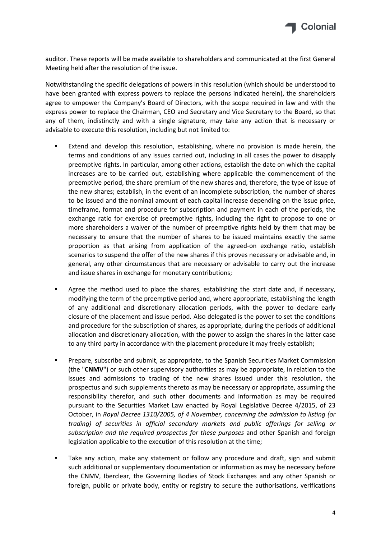

auditor. These reports will be made available to shareholders and communicated at the first General Meeting held after the resolution of the issue.

Notwithstanding the specific delegations of powers in this resolution (which should be understood to have been granted with express powers to replace the persons indicated herein), the shareholders agree to empower the Company's Board of Directors, with the scope required in law and with the express power to replace the Chairman, CEO and Secretary and Vice Secretary to the Board, so that any of them, indistinctly and with a single signature, may take any action that is necessary or advisable to execute this resolution, including but not limited to:

- Extend and develop this resolution, establishing, where no provision is made herein, the terms and conditions of any issues carried out, including in all cases the power to disapply preemptive rights. In particular, among other actions, establish the date on which the capital increases are to be carried out, establishing where applicable the commencement of the preemptive period, the share premium of the new shares and, therefore, the type of issue of the new shares; establish, in the event of an incomplete subscription, the number of shares to be issued and the nominal amount of each capital increase depending on the issue price, timeframe, format and procedure for subscription and payment in each of the periods, the exchange ratio for exercise of preemptive rights, including the right to propose to one or more shareholders a waiver of the number of preemptive rights held by them that may be necessary to ensure that the number of shares to be issued maintains exactly the same proportion as that arising from application of the agreed-on exchange ratio, establish scenarios to suspend the offer of the new shares if this proves necessary or advisable and, in general, any other circumstances that are necessary or advisable to carry out the increase and issue shares in exchange for monetary contributions;
- Agree the method used to place the shares, establishing the start date and, if necessary, modifying the term of the preemptive period and, where appropriate, establishing the length of any additional and discretionary allocation periods, with the power to declare early closure of the placement and issue period. Also delegated is the power to set the conditions and procedure for the subscription of shares, as appropriate, during the periods of additional allocation and discretionary allocation, with the power to assign the shares in the latter case to any third party in accordance with the placement procedure it may freely establish;
- Prepare, subscribe and submit, as appropriate, to the Spanish Securities Market Commission (the "**CNMV**") or such other supervisory authorities as may be appropriate, in relation to the issues and admissions to trading of the new shares issued under this resolution, the prospectus and such supplements thereto as may be necessary or appropriate, assuming the responsibility therefor, and such other documents and information as may be required pursuant to the Securities Market Law enacted by Royal Legislative Decree 4/2015, of 23 October, in *Royal Decree 1310/2005, of 4 November, concerning the admission to listing (or trading) of securities in official secondary markets and public offerings for selling or subscription and the required prospectus for these purposes* and other Spanish and foreign legislation applicable to the execution of this resolution at the time;
- Take any action, make any statement or follow any procedure and draft, sign and submit such additional or supplementary documentation or information as may be necessary before the CNMV, Iberclear, the Governing Bodies of Stock Exchanges and any other Spanish or foreign, public or private body, entity or registry to secure the authorisations, verifications